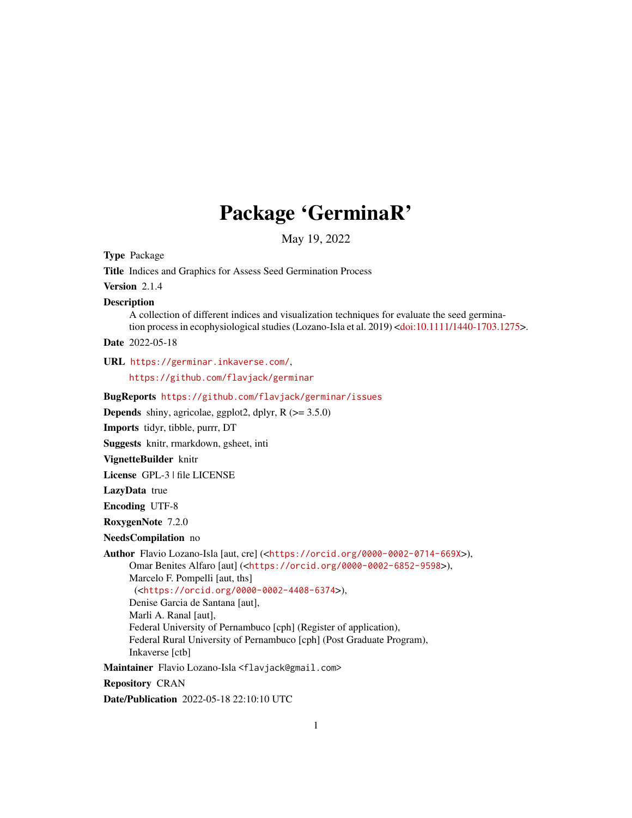# Package 'GerminaR'

May 19, 2022

Type Package Title Indices and Graphics for Assess Seed Germination Process Version 2.1.4 Description A collection of different indices and visualization techniques for evaluate the seed germination process in ecophysiological studies (Lozano-Isla et al. 2019) [<doi:10.1111/1440-1703.1275>](https://doi.org/10.1111/1440-1703.1275). Date 2022-05-18 URL <https://germinar.inkaverse.com/>, <https://github.com/flavjack/germinar> BugReports <https://github.com/flavjack/germinar/issues> **Depends** shiny, agricolae, ggplot2, dplyr,  $R$  ( $>= 3.5.0$ ) Imports tidyr, tibble, purrr, DT Suggests knitr, rmarkdown, gsheet, inti VignetteBuilder knitr License GPL-3 | file LICENSE LazyData true Encoding UTF-8 RoxygenNote 7.2.0 NeedsCompilation no Author Flavio Lozano-Isla [aut, cre] (<<https://orcid.org/0000-0002-0714-669X>>), Omar Benites Alfaro [aut] (<<https://orcid.org/0000-0002-6852-9598>>), Marcelo F. Pompelli [aut, ths] (<<https://orcid.org/0000-0002-4408-6374>>), Denise Garcia de Santana [aut], Marli A. Ranal [aut], Federal University of Pernambuco [cph] (Register of application), Federal Rural University of Pernambuco [cph] (Post Graduate Program), Inkaverse [ctb] Maintainer Flavio Lozano-Isla <flavjack@gmail.com> Repository CRAN Date/Publication 2022-05-18 22:10:10 UTC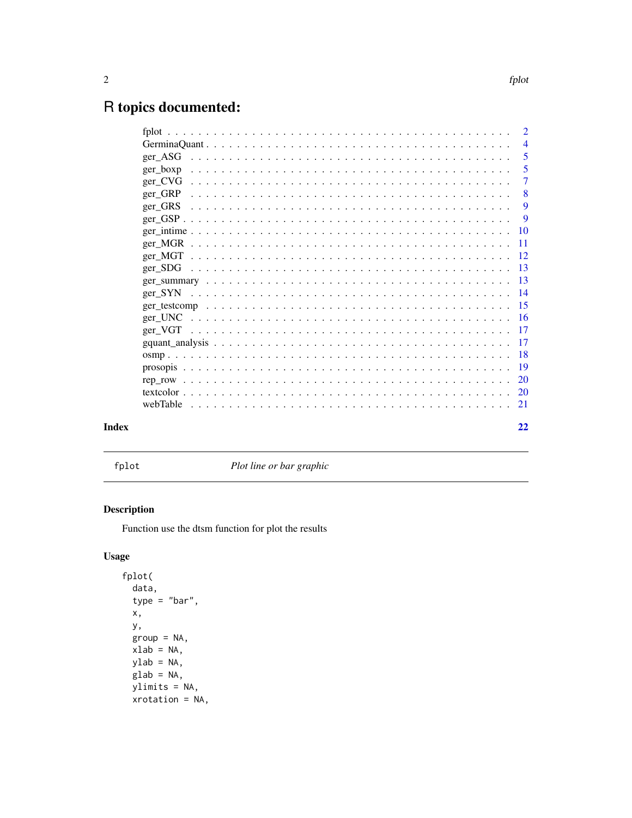# <span id="page-1-0"></span>R topics documented:

|          | 2              |
|----------|----------------|
|          | $\overline{4}$ |
| ger_ASG  | 5              |
| ger_boxp | 5              |
| ger_CVG  | $\overline{7}$ |
| ger_GRP  | 8              |
| ger_GRS  | 9              |
|          | 9              |
|          | <b>10</b>      |
|          | <b>11</b>      |
|          | - 12           |
|          | 13             |
|          |                |
|          |                |
|          |                |
| ger_UNC  |                |
|          |                |
|          | 17             |
|          | 18             |
|          | 19             |
|          | 20             |
|          | <b>20</b>      |
| webTable | 21             |
|          |                |
|          | 22             |

# **Index**

 ${\tt fplot}$ 

Plot line or bar graphic

# Description

Function use the dtsm function for plot the results

# **Usage**

fplot( data,  $type = "bar",$ Х, у,  $group = NA,$  $xlab = NA,$  $ylab = NA$ ,  $glab = NA,$  $ylimits = NA,$  $xrotation = NA,$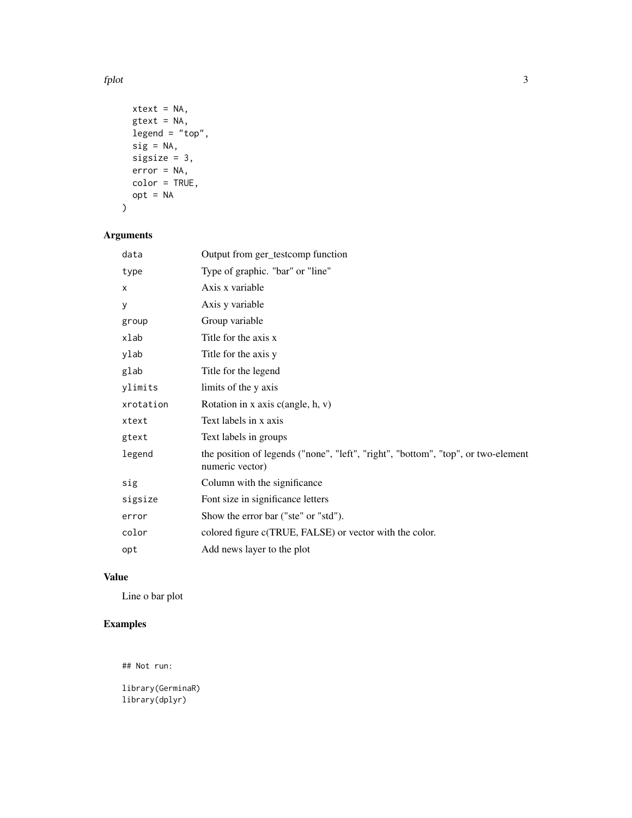fplot 3

```
xtext = NA,gtext = NA,
 legend = "top",sig = NA,sigsize = 3,
 error = NA,
 color = TRUE,
 opt = NA
\mathcal{L}
```
# Arguments

| data      | Output from ger_testcomp function                                                                    |
|-----------|------------------------------------------------------------------------------------------------------|
| type      | Type of graphic. "bar" or "line"                                                                     |
| x         | Axis x variable                                                                                      |
| у         | Axis y variable                                                                                      |
| group     | Group variable                                                                                       |
| xlab      | Title for the axis x                                                                                 |
| ylab      | Title for the axis y                                                                                 |
| glab      | Title for the legend                                                                                 |
| ylimits   | limits of the y axis                                                                                 |
| xrotation | Rotation in x axis $c$ (angle, h, v)                                                                 |
| xtext     | Text labels in x axis                                                                                |
| gtext     | Text labels in groups                                                                                |
| legend    | the position of legends ("none", "left", "right", "bottom", "top", or two-element<br>numeric vector) |
| sig       | Column with the significance                                                                         |
| sigsize   | Font size in significance letters                                                                    |
| error     | Show the error bar ("ste" or "std").                                                                 |
| color     | colored figure c(TRUE, FALSE) or vector with the color.                                              |
| opt       | Add news layer to the plot                                                                           |

# Value

Line o bar plot

# Examples

## Not run:

library(GerminaR) library(dplyr)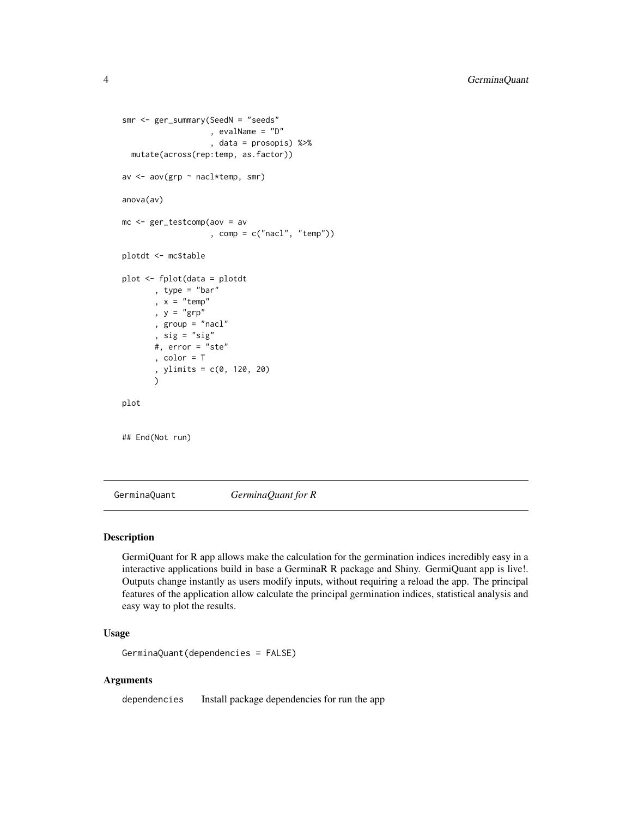```
smr <- ger_summary(SeedN = "seeds"
                   , evalName = "D"
                   , data = prosopis) %>%
 mutate(across(rep:temp, as.factor))
av <- aov(grp ~ nacl*temp, smr)
anova(av)
mc <- ger_testcomp(aov = av
                   , comp = c("nacl", "temp"))
plotdt <- mc$table
plot <- fplot(data = plotdt
      , type = "bar"
       , x = "temp", y = "grp", group = "nacl"
       , sig = "sig"
       #, error = "ste"
       , color = T
       , ylimits = c(0, 120, 20)
       )
plot
## End(Not run)
```
GerminaQuant *GerminaQuant for R*

#### Description

GermiQuant for R app allows make the calculation for the germination indices incredibly easy in a interactive applications build in base a GerminaR R package and Shiny. GermiQuant app is live!. Outputs change instantly as users modify inputs, without requiring a reload the app. The principal features of the application allow calculate the principal germination indices, statistical analysis and easy way to plot the results.

# Usage

```
GerminaQuant(dependencies = FALSE)
```
#### Arguments

dependencies Install package dependencies for run the app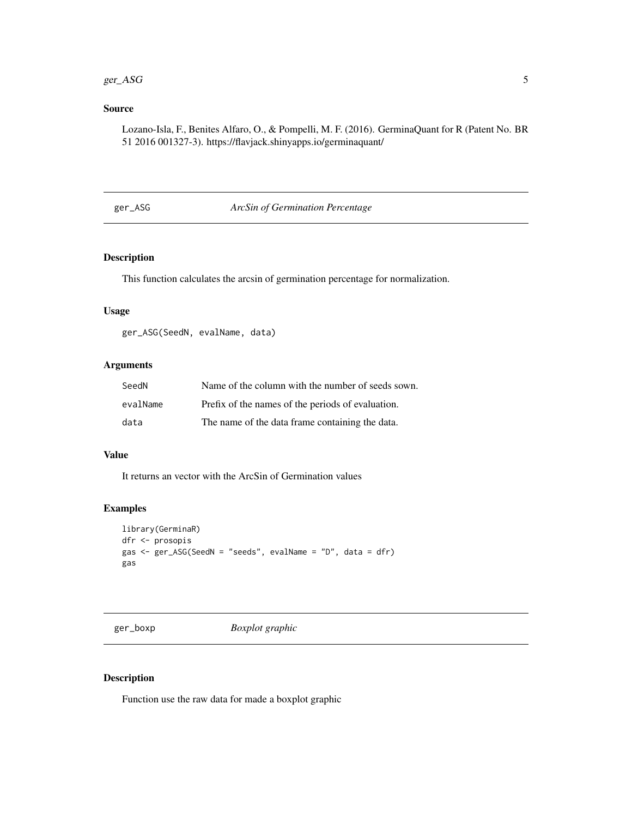#### <span id="page-4-0"></span> $ger\_ASG$  5

# Source

Lozano-Isla, F., Benites Alfaro, O., & Pompelli, M. F. (2016). GerminaQuant for R (Patent No. BR 51 2016 001327-3). https://flavjack.shinyapps.io/germinaquant/

ger\_ASG *ArcSin of Germination Percentage*

# Description

This function calculates the arcsin of germination percentage for normalization.

#### Usage

ger\_ASG(SeedN, evalName, data)

# Arguments

| SeedN    | Name of the column with the number of seeds sown. |
|----------|---------------------------------------------------|
| evalName | Prefix of the names of the periods of evaluation. |
| data     | The name of the data frame containing the data.   |

## Value

It returns an vector with the ArcSin of Germination values

# Examples

```
library(GerminaR)
dfr <- prosopis
gas <- ger_ASG(SeedN = "seeds", evalName = "D", data = dfr)
gas
```
ger\_boxp *Boxplot graphic*

#### Description

Function use the raw data for made a boxplot graphic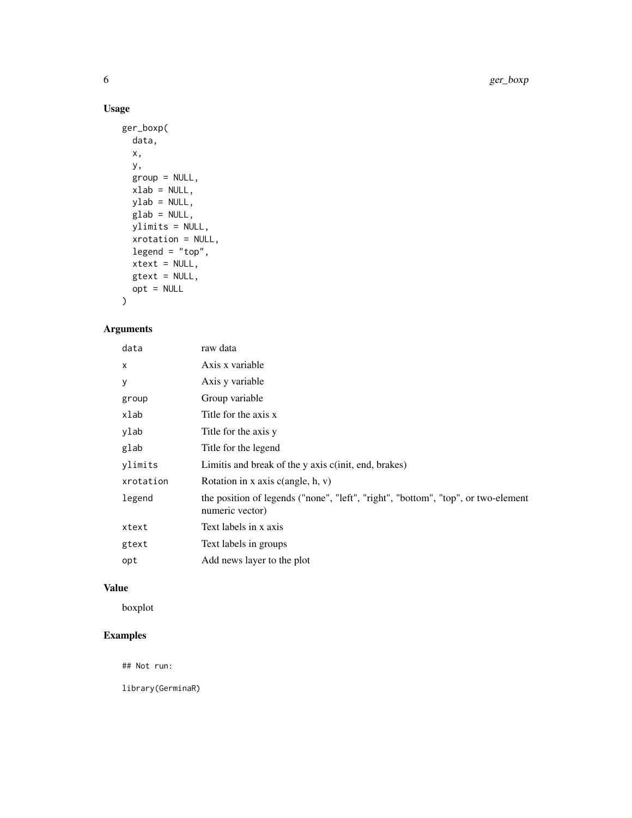# Usage

```
ger_boxp(
 data,
 x,
 y,
 group = NULL,
 xlab = NULL,
 ylab = NULL,
 glab = NULL,
 ylimits = NULL,
 xrotation = NULL,
 legend = "top",xtext = NULL,
 gtext = NULL,
 opt = NULL)
```
# Arguments

| data      | raw data                                                                                             |
|-----------|------------------------------------------------------------------------------------------------------|
| $\times$  | Axis x variable                                                                                      |
| У         | Axis y variable                                                                                      |
| group     | Group variable                                                                                       |
| xlab      | Title for the axis x                                                                                 |
| ylab      | Title for the axis y                                                                                 |
| glab      | Title for the legend                                                                                 |
| ylimits   | Limitis and break of the y axis c(init, end, brakes)                                                 |
| xrotation | Rotation in x axis $c$ (angle, h, v)                                                                 |
| legend    | the position of legends ("none", "left", "right", "bottom", "top", or two-element<br>numeric vector) |
| xtext     | Text labels in x axis                                                                                |
| gtext     | Text labels in groups                                                                                |
| opt       | Add news layer to the plot                                                                           |

# Value

boxplot

# Examples

## Not run:

library(GerminaR)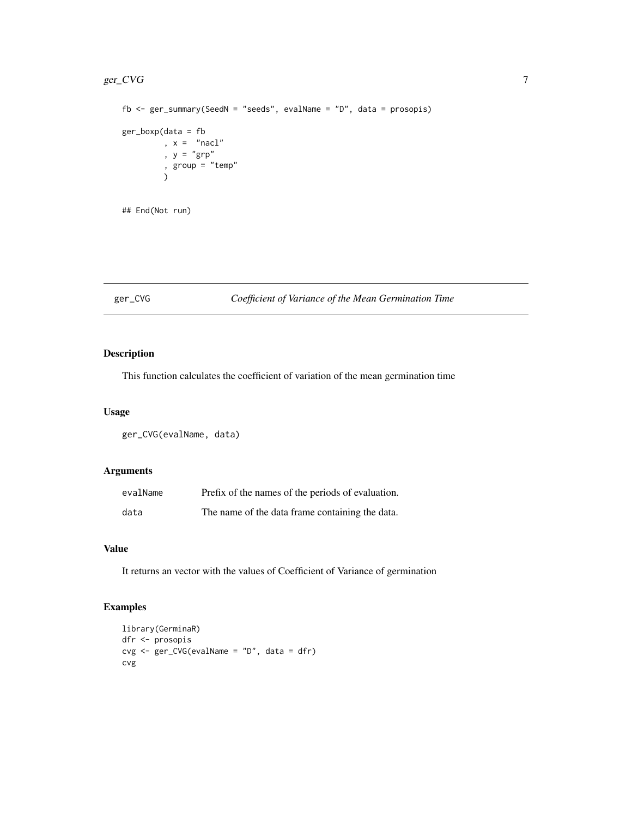#### <span id="page-6-0"></span> $g$ er\_CVG $\,$ 7 $\,$

```
fb \leq ger_summary(SeedN = "seeds", evalName = "D", data = prosopis)
ger_boxp(data = fb
        , x = "nac1", y = "grp", group = "temp"
        )
## End(Not run)
```
# ger\_CVG *Coefficient of Variance of the Mean Germination Time*

# Description

This function calculates the coefficient of variation of the mean germination time

#### Usage

ger\_CVG(evalName, data)

# Arguments

| evalName | Prefix of the names of the periods of evaluation. |
|----------|---------------------------------------------------|
| data     | The name of the data frame containing the data.   |

# Value

It returns an vector with the values of Coefficient of Variance of germination

```
library(GerminaR)
dfr <- prosopis
cvg <- ger_CVG(evalName = "D", data = dfr)
cvg
```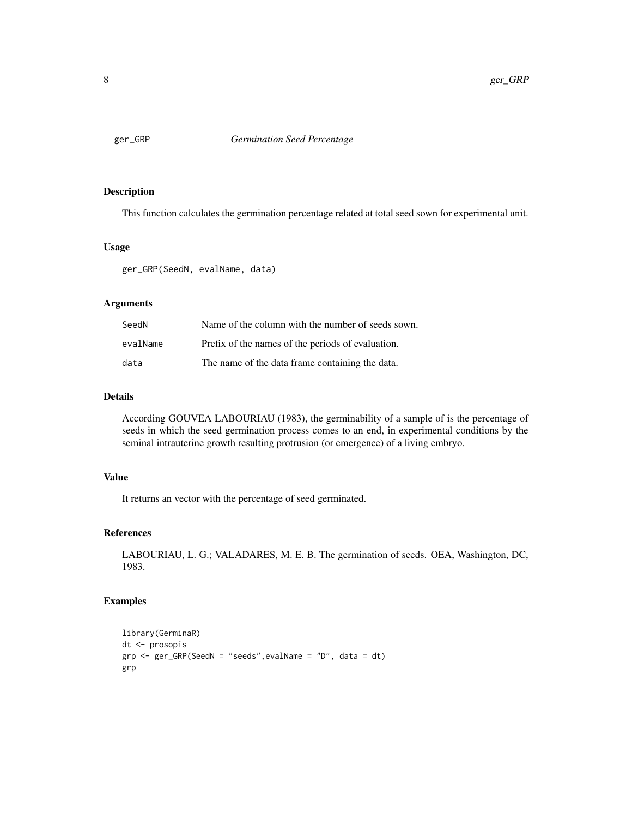<span id="page-7-0"></span>

This function calculates the germination percentage related at total seed sown for experimental unit.

#### Usage

ger\_GRP(SeedN, evalName, data)

# Arguments

| SeedN    | Name of the column with the number of seeds sown. |
|----------|---------------------------------------------------|
| evalName | Prefix of the names of the periods of evaluation. |
| data     | The name of the data frame containing the data.   |

# Details

According GOUVEA LABOURIAU (1983), the germinability of a sample of is the percentage of seeds in which the seed germination process comes to an end, in experimental conditions by the seminal intrauterine growth resulting protrusion (or emergence) of a living embryo.

# Value

It returns an vector with the percentage of seed germinated.

## References

LABOURIAU, L. G.; VALADARES, M. E. B. The germination of seeds. OEA, Washington, DC, 1983.

```
library(GerminaR)
dt <- prosopis
grp <- ger_GRP(SeedN = "seeds",evalName = "D", data = dt)
grp
```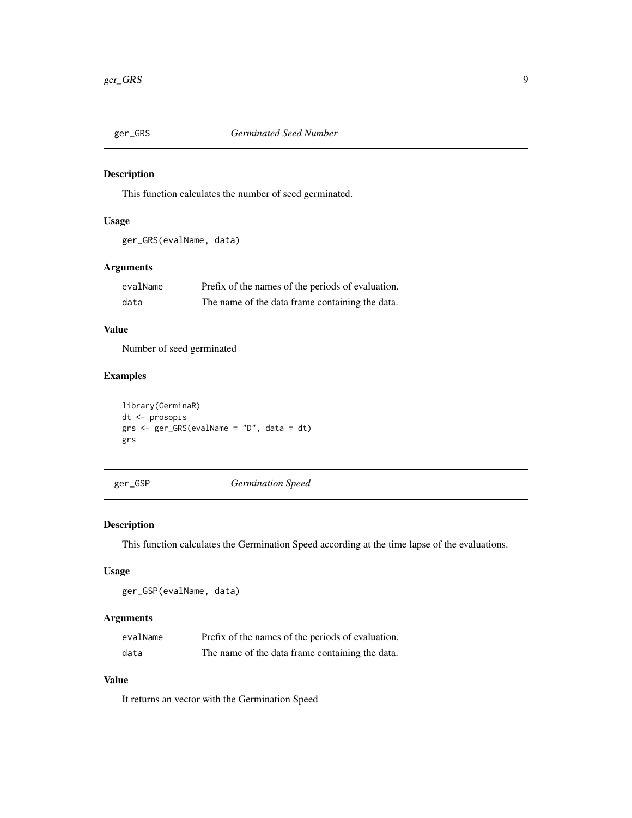<span id="page-8-0"></span>

This function calculates the number of seed germinated.

# Usage

ger\_GRS(evalName, data)

# Arguments

| evalName | Prefix of the names of the periods of evaluation. |
|----------|---------------------------------------------------|
| data     | The name of the data frame containing the data.   |

# Value

Number of seed germinated

# Examples

```
library(GerminaR)
dt <- prosopis
grs <- ger_GRS(evalName = "D", data = dt)
grs
```
ger\_GSP *Germination Speed*

# Description

This function calculates the Germination Speed according at the time lapse of the evaluations.

# Usage

ger\_GSP(evalName, data)

# Arguments

| evalName | Prefix of the names of the periods of evaluation. |
|----------|---------------------------------------------------|
| data     | The name of the data frame containing the data.   |

# Value

It returns an vector with the Germination Speed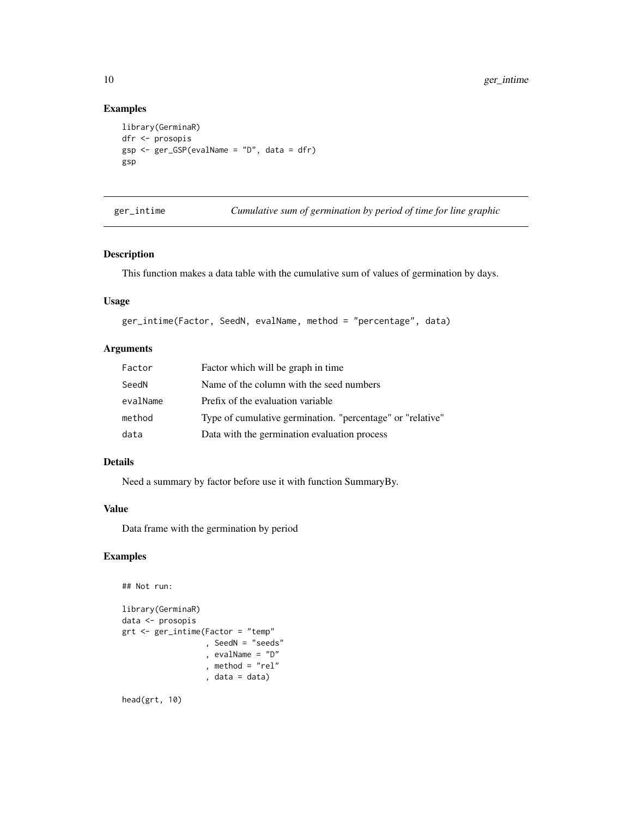# Examples

```
library(GerminaR)
dfr <- prosopis
gsp <- ger_GSP(evalName = "D", data = dfr)
gsp
```
ger\_intime *Cumulative sum of germination by period of time for line graphic*

# Description

This function makes a data table with the cumulative sum of values of germination by days.

# Usage

```
ger_intime(Factor, SeedN, evalName, method = "percentage", data)
```
# Arguments

| Factor   | Factor which will be graph in time                         |
|----------|------------------------------------------------------------|
| SeedN    | Name of the column with the seed numbers                   |
| evalName | Prefix of the evaluation variable                          |
| method   | Type of cumulative germination. "percentage" or "relative" |
| data     | Data with the germination evaluation process               |

# Details

Need a summary by factor before use it with function SummaryBy.

# Value

Data frame with the germination by period

# Examples

```
## Not run:
library(GerminaR)
data <- prosopis
grt <- ger_intime(Factor = "temp"
                  , SeedN = "seeds"
                  , evalName = "D"
                  , method = "rel", data = data)
```
head(grt, 10)

<span id="page-9-0"></span>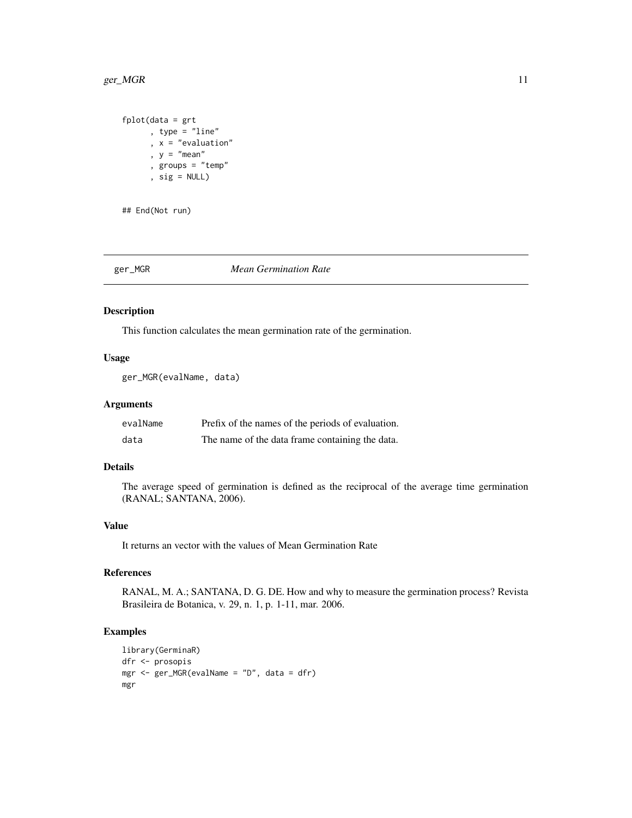#### <span id="page-10-0"></span> $ger\_MGR$  11

```
fplot(data = grt
     , type = "line"
      , x = "evaluation"
      , y = "mean", groups = "temp"
      , sig = NULL)
```
## End(Not run)

#### ger\_MGR *Mean Germination Rate*

#### Description

This function calculates the mean germination rate of the germination.

# Usage

ger\_MGR(evalName, data)

## Arguments

| evalName | Prefix of the names of the periods of evaluation. |
|----------|---------------------------------------------------|
| data     | The name of the data frame containing the data.   |

# Details

The average speed of germination is defined as the reciprocal of the average time germination (RANAL; SANTANA, 2006).

#### Value

It returns an vector with the values of Mean Germination Rate

# References

RANAL, M. A.; SANTANA, D. G. DE. How and why to measure the germination process? Revista Brasileira de Botanica, v. 29, n. 1, p. 1-11, mar. 2006.

```
library(GerminaR)
dfr <- prosopis
mgr <- ger_MGR(evalName = "D", data = dfr)
mgr
```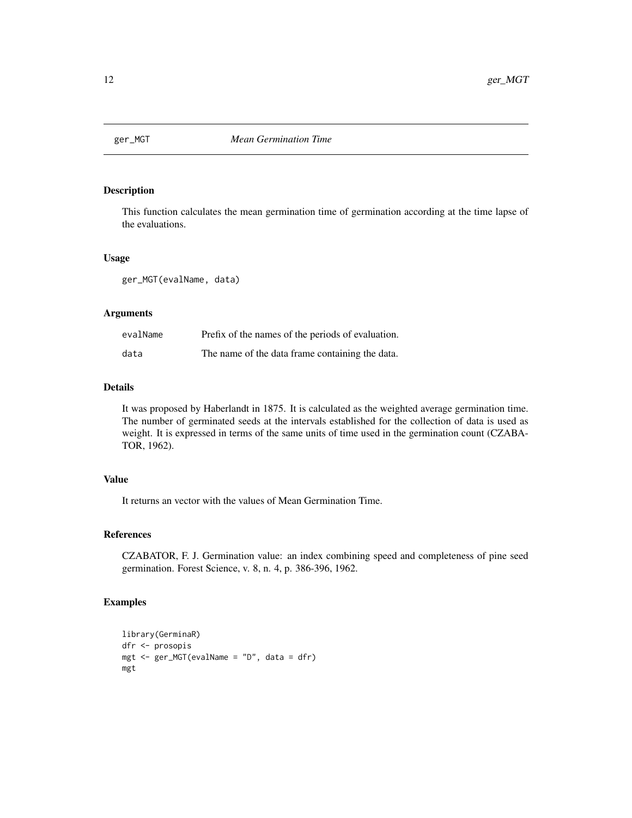<span id="page-11-0"></span>

This function calculates the mean germination time of germination according at the time lapse of the evaluations.

#### Usage

ger\_MGT(evalName, data)

#### Arguments

| evalName | Prefix of the names of the periods of evaluation. |
|----------|---------------------------------------------------|
| data     | The name of the data frame containing the data.   |

#### Details

It was proposed by Haberlandt in 1875. It is calculated as the weighted average germination time. The number of germinated seeds at the intervals established for the collection of data is used as weight. It is expressed in terms of the same units of time used in the germination count (CZABA-TOR, 1962).

#### Value

It returns an vector with the values of Mean Germination Time.

# References

CZABATOR, F. J. Germination value: an index combining speed and completeness of pine seed germination. Forest Science, v. 8, n. 4, p. 386-396, 1962.

```
library(GerminaR)
dfr <- prosopis
mgt <- ger_MGT(evalName = "D", data = dfr)
mgt
```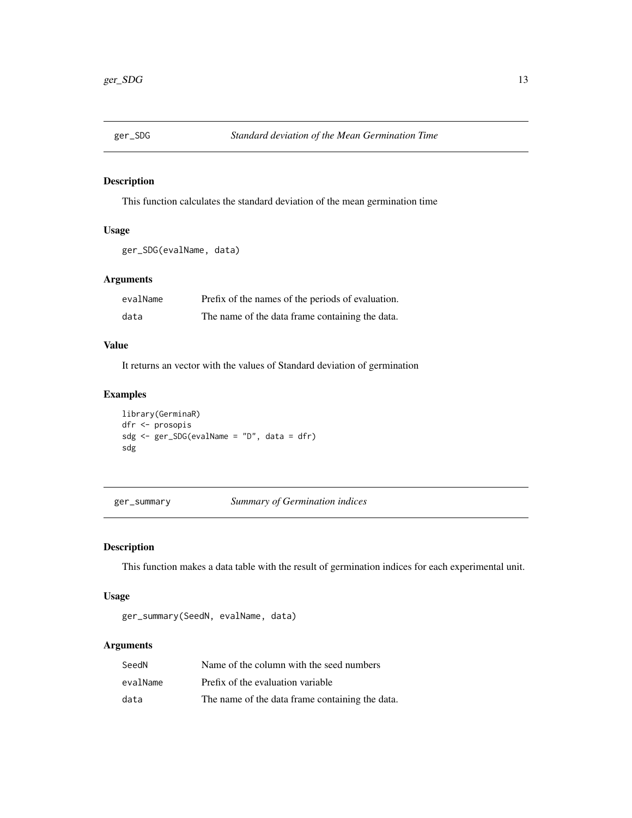<span id="page-12-0"></span>

This function calculates the standard deviation of the mean germination time

# Usage

```
ger_SDG(evalName, data)
```
# Arguments

| evalName | Prefix of the names of the periods of evaluation. |
|----------|---------------------------------------------------|
| data     | The name of the data frame containing the data.   |

# Value

It returns an vector with the values of Standard deviation of germination

# Examples

```
library(GerminaR)
dfr <- prosopis
sdg <- ger_SDG(evalName = "D", data = dfr)
sdg
```
ger\_summary *Summary of Germination indices*

#### Description

This function makes a data table with the result of germination indices for each experimental unit.

# Usage

ger\_summary(SeedN, evalName, data)

#### Arguments

| SeedN    | Name of the column with the seed numbers        |
|----------|-------------------------------------------------|
| evalName | Prefix of the evaluation variable               |
| data     | The name of the data frame containing the data. |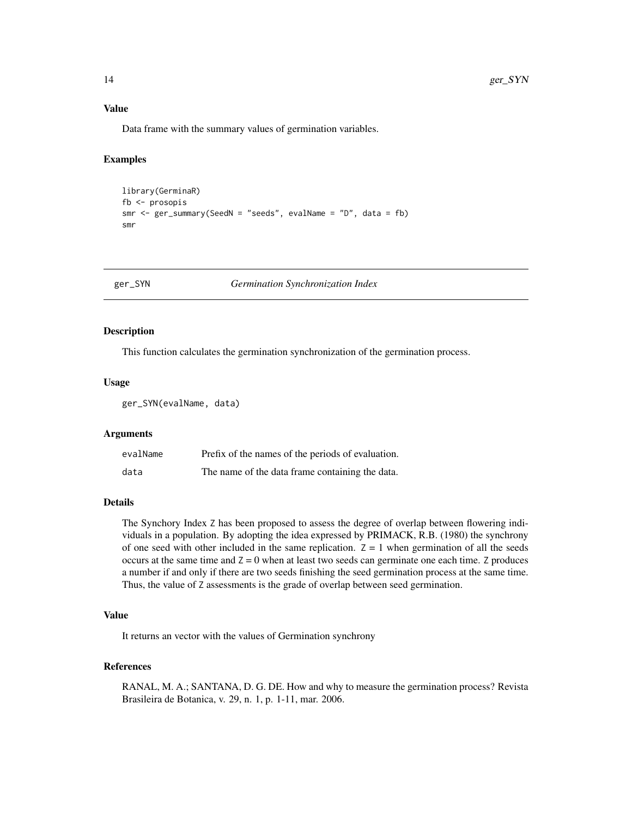# Value

Data frame with the summary values of germination variables.

#### Examples

```
library(GerminaR)
fb <- prosopis
smr \leq ger_summary(SeedN = "seeds", evalName = "D", data = fb)
smr
```
ger\_SYN *Germination Synchronization Index*

#### Description

This function calculates the germination synchronization of the germination process.

#### Usage

ger\_SYN(evalName, data)

#### Arguments

| evalName | Prefix of the names of the periods of evaluation. |
|----------|---------------------------------------------------|
| data     | The name of the data frame containing the data.   |

# **Details**

The Synchory Index Z has been proposed to assess the degree of overlap between flowering individuals in a population. By adopting the idea expressed by PRIMACK, R.B. (1980) the synchrony of one seed with other included in the same replication.  $Z = 1$  when germination of all the seeds occurs at the same time and  $Z = 0$  when at least two seeds can germinate one each time. Z produces a number if and only if there are two seeds finishing the seed germination process at the same time. Thus, the value of Z assessments is the grade of overlap between seed germination.

#### Value

It returns an vector with the values of Germination synchrony

#### References

RANAL, M. A.; SANTANA, D. G. DE. How and why to measure the germination process? Revista Brasileira de Botanica, v. 29, n. 1, p. 1-11, mar. 2006.

<span id="page-13-0"></span>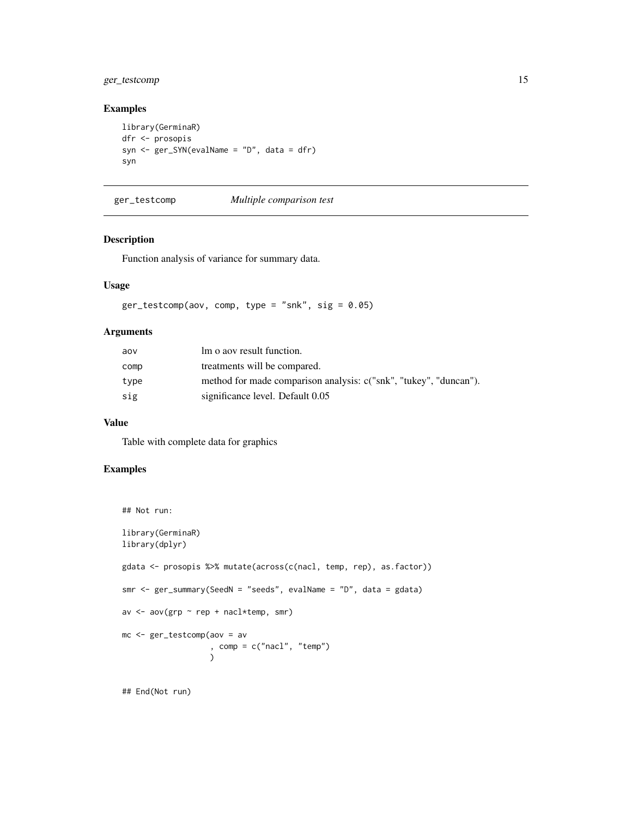# <span id="page-14-0"></span>ger\_testcomp 15

# Examples

```
library(GerminaR)
dfr <- prosopis
syn <- ger_SYN(evalName = "D", data = dfr)
syn
```
ger\_testcomp *Multiple comparison test*

#### Description

Function analysis of variance for summary data.

#### Usage

```
ger\_testcomp(aov, comp, type = "snk", sig = 0.05)
```
#### Arguments

| aov  | lm o aov result function.                                         |
|------|-------------------------------------------------------------------|
| comp | treatments will be compared.                                      |
| type | method for made comparison analysis: c("snk", "tukey", "duncan"). |
| sig  | significance level. Default 0.05                                  |

#### Value

Table with complete data for graphics

#### Examples

```
## Not run:
library(GerminaR)
library(dplyr)
gdata <- prosopis %>% mutate(across(c(nacl, temp, rep), as.factor))
smr <- ger_summary(SeedN = "seeds", evalName = "D", data = gdata)
av <- aov(grp ~ rep + nacl*temp, smr)
mc <- ger_testcomp(aov = av
                   , comp = c("nacl", "temp")
                   )
```
## End(Not run)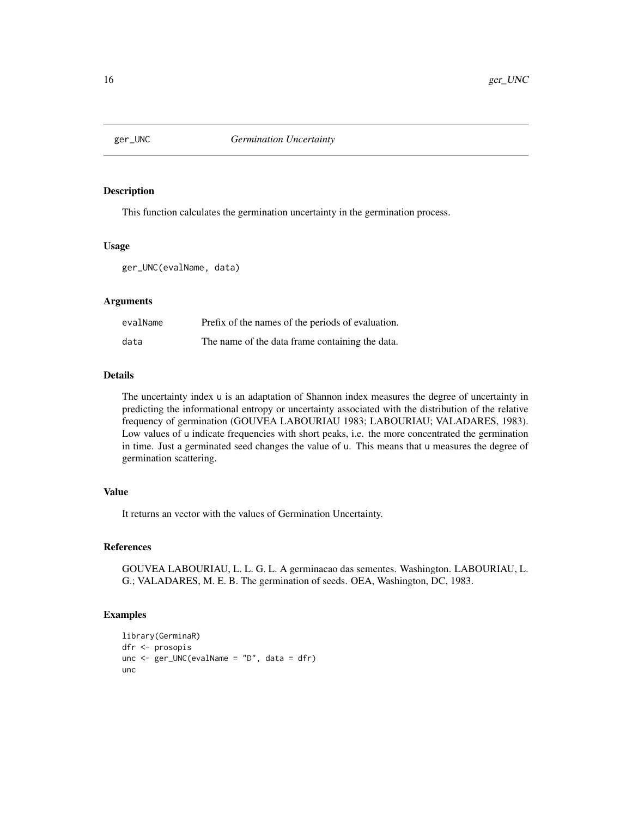<span id="page-15-0"></span>

This function calculates the germination uncertainty in the germination process.

#### Usage

ger\_UNC(evalName, data)

# Arguments

| evalName | Prefix of the names of the periods of evaluation. |
|----------|---------------------------------------------------|
| data     | The name of the data frame containing the data.   |

#### Details

The uncertainty index u is an adaptation of Shannon index measures the degree of uncertainty in predicting the informational entropy or uncertainty associated with the distribution of the relative frequency of germination (GOUVEA LABOURIAU 1983; LABOURIAU; VALADARES, 1983). Low values of u indicate frequencies with short peaks, i.e. the more concentrated the germination in time. Just a germinated seed changes the value of u. This means that u measures the degree of germination scattering.

#### Value

It returns an vector with the values of Germination Uncertainty.

#### References

GOUVEA LABOURIAU, L. L. G. L. A germinacao das sementes. Washington. LABOURIAU, L. G.; VALADARES, M. E. B. The germination of seeds. OEA, Washington, DC, 1983.

```
library(GerminaR)
dfr <- prosopis
unc <- ger_UNC(evalName = "D", data = dfr)
unc
```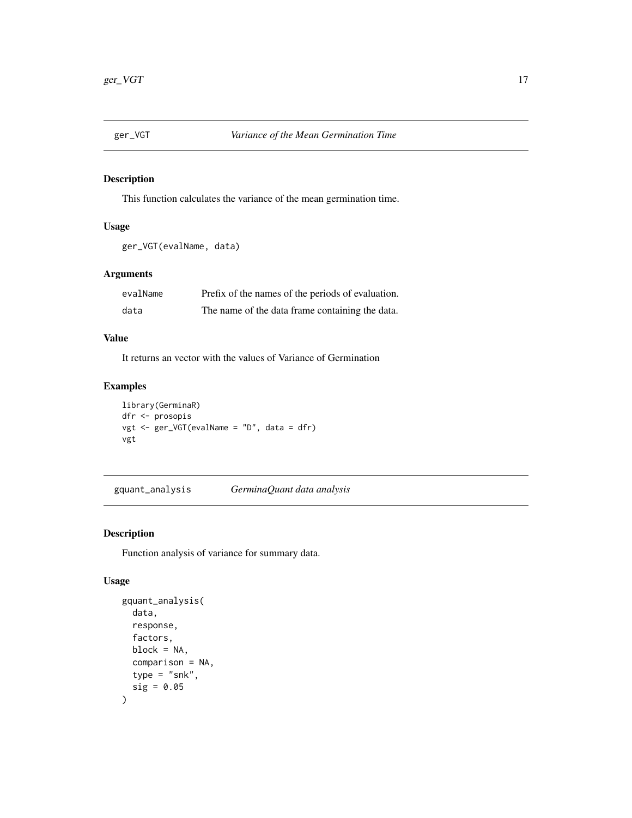<span id="page-16-0"></span>

This function calculates the variance of the mean germination time.

# Usage

```
ger_VGT(evalName, data)
```
# Arguments

| evalName | Prefix of the names of the periods of evaluation. |
|----------|---------------------------------------------------|
| data     | The name of the data frame containing the data.   |

# Value

It returns an vector with the values of Variance of Germination

# Examples

```
library(GerminaR)
dfr <- prosopis
vgt <- ger_VGT(evalName = "D", data = dfr)
vgt
```
gquant\_analysis *GerminaQuant data analysis*

# Description

Function analysis of variance for summary data.

#### Usage

```
gquant_analysis(
  data,
  response,
  factors,
  block = NA,
  comparison = NA,
  type = "snk",
  sig = 0.05\mathcal{E}
```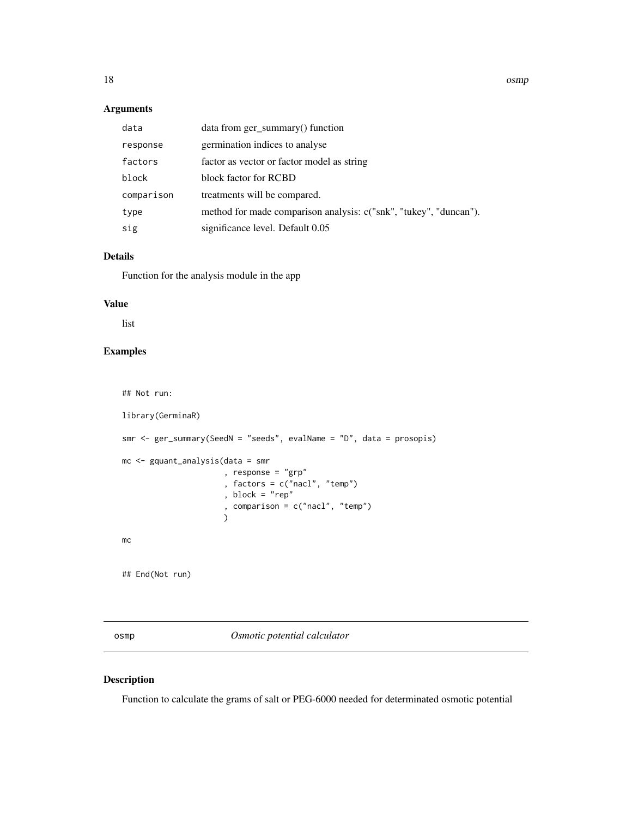# <span id="page-17-0"></span>Arguments

| data       | data from ger_summary() function                                  |
|------------|-------------------------------------------------------------------|
| response   | germination indices to analyse                                    |
| factors    | factor as vector or factor model as string                        |
| block      | block factor for RCBD                                             |
| comparison | treatments will be compared.                                      |
| type       | method for made comparison analysis: c("snk", "tukey", "duncan"). |
| sig        | significance level. Default 0.05                                  |

#### Details

Function for the analysis module in the app

#### Value

list

# Examples

## Not run:

```
library(GerminaR)
smr <- ger_summary(SeedN = "seeds", evalName = "D", data = prosopis)
mc <- gquant_analysis(data = smr
                      , response = "grp"
                      , factors = c("nacl", "temp")
                      , block = "rep"
                      , comparison = c("nacl", "temp")
                      \lambdamc
## End(Not run)
```
osmp *Osmotic potential calculator*

# Description

Function to calculate the grams of salt or PEG-6000 needed for determinated osmotic potential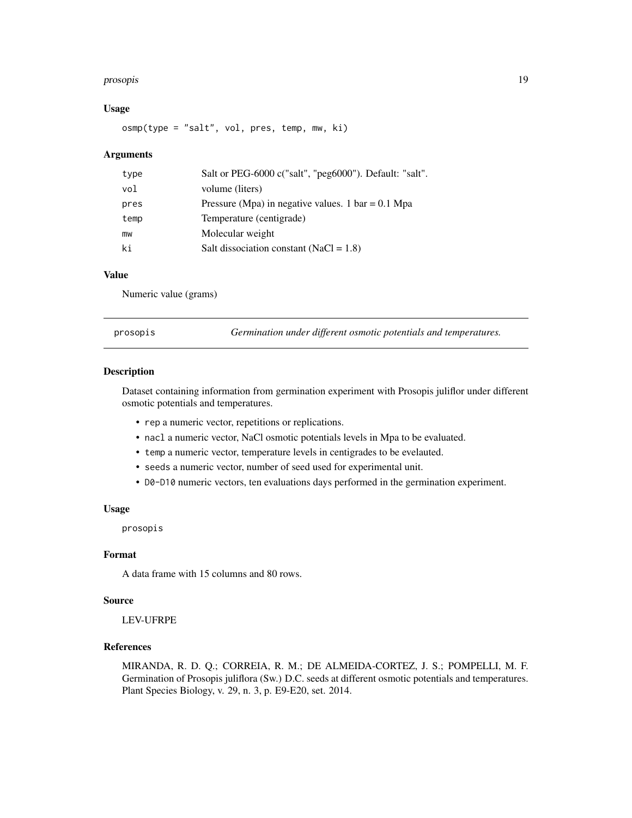#### <span id="page-18-0"></span>prosopis and the contract of the contract of the contract of the contract of the contract of the contract of the contract of the contract of the contract of the contract of the contract of the contract of the contract of t

#### Usage

osmp(type = "salt", vol, pres, temp, mw, ki)

#### Arguments

| type | Salt or PEG-6000 c("salt", "peg6000"). Default: "salt". |
|------|---------------------------------------------------------|
| vol  | volume (liters)                                         |
| pres | Pressure (Mpa) in negative values. 1 bar = 0.1 Mpa      |
| temp | Temperature (centigrade)                                |
| mw   | Molecular weight                                        |
| ki   | Salt dissociation constant (NaCl = $1.8$ )              |

#### Value

Numeric value (grams)

prosopis *Germination under different osmotic potentials and temperatures.*

#### Description

Dataset containing information from germination experiment with Prosopis juliflor under different osmotic potentials and temperatures.

- rep a numeric vector, repetitions or replications.
- nacl a numeric vector, NaCl osmotic potentials levels in Mpa to be evaluated.
- temp a numeric vector, temperature levels in centigrades to be evelauted.
- seeds a numeric vector, number of seed used for experimental unit.
- D0-D10 numeric vectors, ten evaluations days performed in the germination experiment.

#### Usage

prosopis

#### Format

A data frame with 15 columns and 80 rows.

#### Source

LEV-UFRPE

# References

MIRANDA, R. D. Q.; CORREIA, R. M.; DE ALMEIDA-CORTEZ, J. S.; POMPELLI, M. F. Germination of Prosopis juliflora (Sw.) D.C. seeds at different osmotic potentials and temperatures. Plant Species Biology, v. 29, n. 3, p. E9-E20, set. 2014.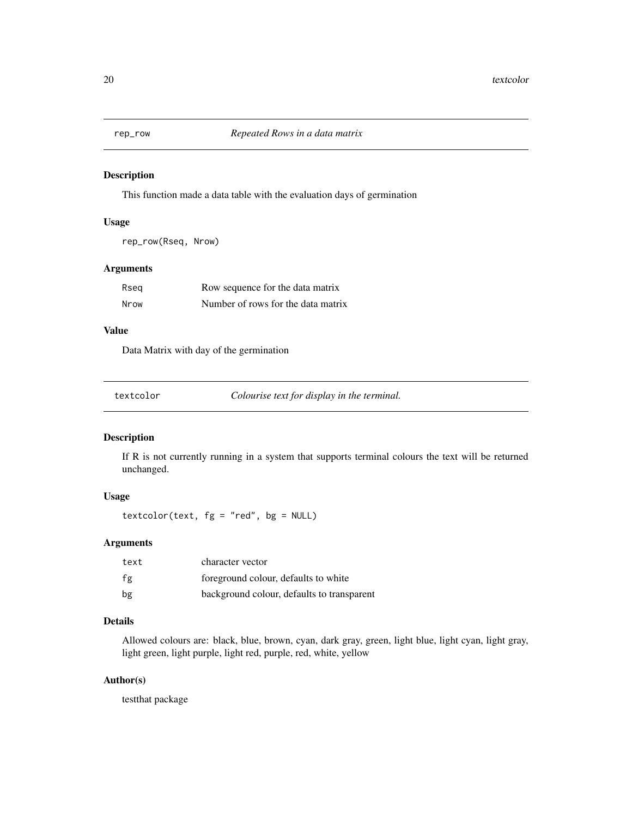<span id="page-19-0"></span>

This function made a data table with the evaluation days of germination

#### Usage

rep\_row(Rseq, Nrow)

#### Arguments

| Rseg | Row sequence for the data matrix   |
|------|------------------------------------|
| Nrow | Number of rows for the data matrix |

# Value

Data Matrix with day of the germination

| textcolor | Colourise text for display in the terminal. |
|-----------|---------------------------------------------|
|           |                                             |

# Description

If R is not currently running in a system that supports terminal colours the text will be returned unchanged.

# Usage

 $textcolor{red}(text, fg = "red", bg = NULL)$ 

# Arguments

| text | character vector                           |
|------|--------------------------------------------|
| fg   | foreground colour, defaults to white       |
| bg   | background colour, defaults to transparent |

# Details

Allowed colours are: black, blue, brown, cyan, dark gray, green, light blue, light cyan, light gray, light green, light purple, light red, purple, red, white, yellow

# Author(s)

testthat package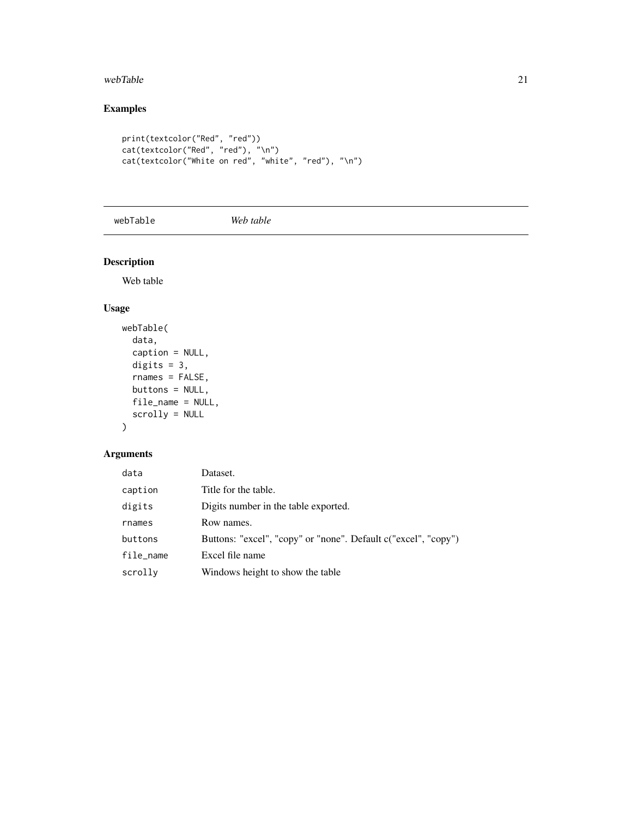#### <span id="page-20-0"></span> $webTable$  21

# Examples

```
print(textcolor("Red", "red"))
cat(textcolor("Red", "red"), "\n")
cat(textcolor("White on red", "white", "red"), "\n")
```
webTable *Web table*

# Description

Web table

# Usage

```
webTable(
  data,
  caption = NULL,
  digits = 3,
  rnames = FALSE,
  buttons = NULL,
  file_name = NULL,
  scrolly = NULL
\mathcal{L}
```
# Arguments

| data      | Dataset.                                                       |
|-----------|----------------------------------------------------------------|
| caption   | Title for the table.                                           |
| digits    | Digits number in the table exported.                           |
| rnames    | Row names.                                                     |
| buttons   | Buttons: "excel", "copy" or "none". Default c("excel", "copy") |
| file_name | Excel file name                                                |
| scrolly   | Windows height to show the table                               |
|           |                                                                |